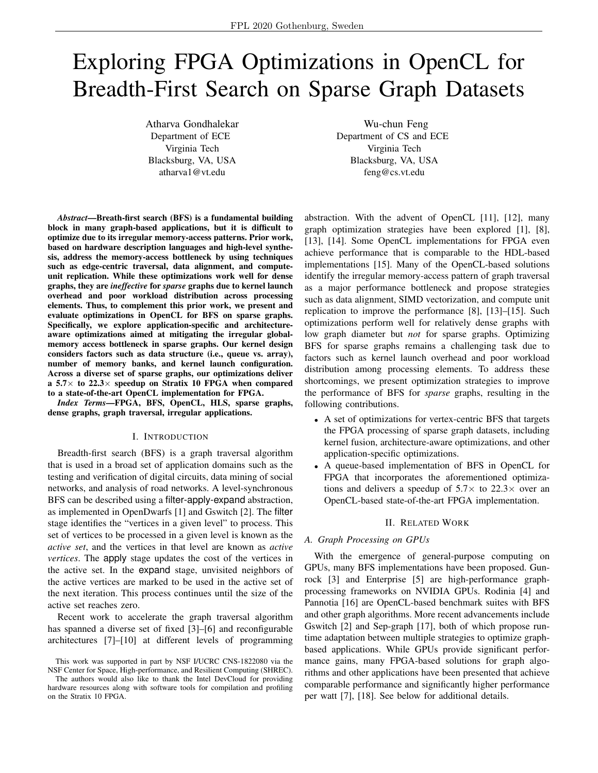# Exploring FPGA Optimizations in OpenCL for Breadth-First Search on Sparse Graph Datasets

Atharva Gondhalekar Department of ECE Virginia Tech Blacksburg, VA, USA atharva1@vt.edu

Wu-chun Feng Department of CS and ECE Virginia Tech Blacksburg, VA, USA feng@cs.vt.edu

*Abstract*—Breath-first search (BFS) is a fundamental building block in many graph-based applications, but it is difficult to optimize due to its irregular memory-access patterns. Prior work, based on hardware description languages and high-level synthesis, address the memory-access bottleneck by using techniques such as edge-centric traversal, data alignment, and computeunit replication. While these optimizations work well for dense graphs, they are *ineffective* for *sparse* graphs due to kernel launch overhead and poor workload distribution across processing elements. Thus, to complement this prior work, we present and evaluate optimizations in OpenCL for BFS on sparse graphs. Specifically, we explore application-specific and architectureaware optimizations aimed at mitigating the irregular globalmemory access bottleneck in sparse graphs. Our kernel design considers factors such as data structure (i.e., queue vs. array), number of memory banks, and kernel launch configuration. Across a diverse set of sparse graphs, our optimizations deliver a 5.7 $\times$  to 22.3 $\times$  speedup on Stratix 10 FPGA when compared to a state-of-the-art OpenCL implementation for FPGA.

*Index Terms*—FPGA, BFS, OpenCL, HLS, sparse graphs, dense graphs, graph traversal, irregular applications.

# I. INTRODUCTION

Breadth-first search (BFS) is a graph traversal algorithm that is used in a broad set of application domains such as the testing and verification of digital circuits, data mining of social networks, and analysis of road networks. A level-synchronous BFS can be described using a filter-apply-expand abstraction, as implemented in OpenDwarfs [1] and Gswitch [2]. The filter stage identifies the "vertices in a given level" to process. This set of vertices to be processed in a given level is known as the *active set*, and the vertices in that level are known as *active vertices*. The apply stage updates the cost of the vertices in the active set. In the expand stage, unvisited neighbors of the active vertices are marked to be used in the active set of the next iteration. This process continues until the size of the active set reaches zero.

Recent work to accelerate the graph traversal algorithm has spanned a diverse set of fixed [3]–[6] and reconfigurable architectures [7]–[10] at different levels of programming

abstraction. With the advent of OpenCL [11], [12], many graph optimization strategies have been explored [1], [8], [13], [14]. Some OpenCL implementations for FPGA even achieve performance that is comparable to the HDL-based implementations [15]. Many of the OpenCL-based solutions identify the irregular memory-access pattern of graph traversal as a major performance bottleneck and propose strategies such as data alignment, SIMD vectorization, and compute unit replication to improve the performance [8], [13]–[15]. Such optimizations perform well for relatively dense graphs with low graph diameter but *not* for sparse graphs. Optimizing BFS for sparse graphs remains a challenging task due to factors such as kernel launch overhead and poor workload distribution among processing elements. To address these shortcomings, we present optimization strategies to improve the performance of BFS for *sparse* graphs, resulting in the following contributions.

- A set of optimizations for vertex-centric BFS that targets the FPGA processing of sparse graph datasets, including kernel fusion, architecture-aware optimizations, and other application-specific optimizations.
- A queue-based implementation of BFS in OpenCL for FPGA that incorporates the aforementioned optimizations and delivers a speedup of  $5.7\times$  to  $22.3\times$  over an OpenCL-based state-of-the-art FPGA implementation.

## II. RELATED WORK

## *A. Graph Processing on GPUs*

With the emergence of general-purpose computing on GPUs, many BFS implementations have been proposed. Gunrock [3] and Enterprise [5] are high-performance graphprocessing frameworks on NVIDIA GPUs. Rodinia [4] and Pannotia [16] are OpenCL-based benchmark suites with BFS and other graph algorithms. More recent advancements include Gswitch [2] and Sep-graph [17], both of which propose runtime adaptation between multiple strategies to optimize graphbased applications. While GPUs provide significant performance gains, many FPGA-based solutions for graph algorithms and other applications have been presented that achieve comparable performance and significantly higher performance per watt [7], [18]. See below for additional details.

This work was supported in part by NSF I/UCRC CNS-1822080 via the NSF Center for Space, High-performance, and Resilient Computing (SHREC).

The authors would also like to thank the Intel DevCloud for providing hardware resources along with software tools for compilation and profiling on the Stratix 10 FPGA.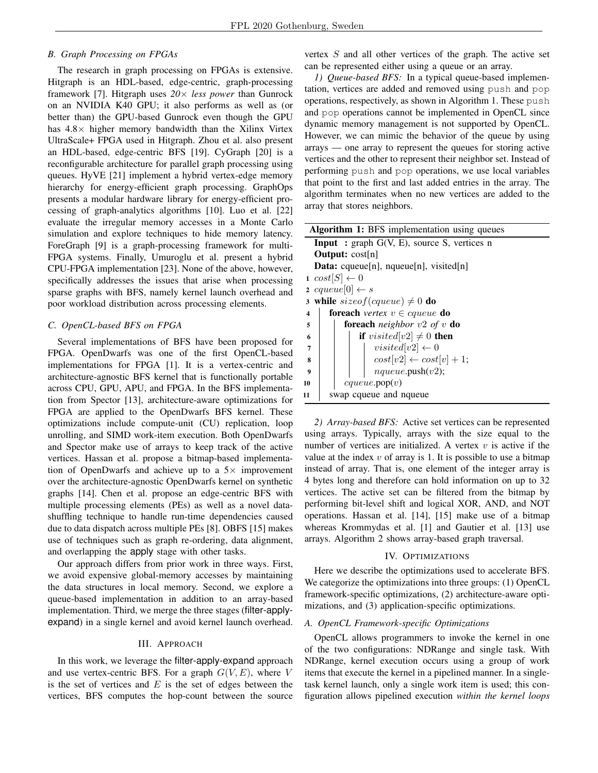# *B. Graph Processing on FPGAs*

The research in graph processing on FPGAs is extensive. Hitgraph is an HDL-based, edge-centric, graph-processing framework [7]. Hitgraph uses *20*× *less power* than Gunrock on an NVIDIA K40 GPU; it also performs as well as (or better than) the GPU-based Gunrock even though the GPU has  $4.8\times$  higher memory bandwidth than the Xilinx Virtex UltraScale+ FPGA used in Hitgraph. Zhou et al. also present an HDL-based, edge-centric BFS [19]. CyGraph [20] is a reconfigurable architecture for parallel graph processing using queues. HyVE [21] implement a hybrid vertex-edge memory hierarchy for energy-efficient graph processing. GraphOps presents a modular hardware library for energy-efficient processing of graph-analytics algorithms [10]. Luo et al. [22] evaluate the irregular memory accesses in a Monte Carlo simulation and explore techniques to hide memory latency. ForeGraph [9] is a graph-processing framework for multi-FPGA systems. Finally, Umuroglu et al. present a hybrid CPU-FPGA implementation [23]. None of the above, however, specifically addresses the issues that arise when processing sparse graphs with BFS, namely kernel launch overhead and poor workload distribution across processing elements.

## *C. OpenCL-based BFS on FPGA*

Several implementations of BFS have been proposed for FPGA. OpenDwarfs was one of the first OpenCL-based implementations for FPGA [1]. It is a vertex-centric and architecture-agnostic BFS kernel that is functionally portable across CPU, GPU, APU, and FPGA. In the BFS implementation from Spector [13], architecture-aware optimizations for FPGA are applied to the OpenDwarfs BFS kernel. These optimizations include compute-unit (CU) replication, loop unrolling, and SIMD work-item execution. Both OpenDwarfs and Spector make use of arrays to keep track of the active vertices. Hassan et al. propose a bitmap-based implementation of OpenDwarfs and achieve up to a  $5\times$  improvement over the architecture-agnostic OpenDwarfs kernel on synthetic graphs [14]. Chen et al. propose an edge-centric BFS with multiple processing elements (PEs) as well as a novel datashuffling technique to handle run-time dependencies caused due to data dispatch across multiple PEs [8]. OBFS [15] makes use of techniques such as graph re-ordering, data alignment, and overlapping the apply stage with other tasks.

Our approach differs from prior work in three ways. First, we avoid expensive global-memory accesses by maintaining the data structures in local memory. Second, we explore a queue-based implementation in addition to an array-based implementation. Third, we merge the three stages (filter-applyexpand) in a single kernel and avoid kernel launch overhead.

# III. APPROACH

In this work, we leverage the filter-apply-expand approach and use vertex-centric BFS. For a graph  $G(V, E)$ , where V is the set of vertices and  $E$  is the set of edges between the vertices, BFS computes the hop-count between the source

vertex  $S$  and all other vertices of the graph. The active set can be represented either using a queue or an array.

*1) Queue-based BFS:* In a typical queue-based implementation, vertices are added and removed using push and pop operations, respectively, as shown in Algorithm 1. These push and pop operations cannot be implemented in OpenCL since dynamic memory management is not supported by OpenCL. However, we can mimic the behavior of the queue by using arrays — one array to represent the queues for storing active vertices and the other to represent their neighbor set. Instead of performing push and pop operations, we use local variables that point to the first and last added entries in the array. The algorithm terminates when no new vertices are added to the array that stores neighbors.

| <b>Algorithm 1:</b> BFS implementation using queues                              |  |  |  |  |  |
|----------------------------------------------------------------------------------|--|--|--|--|--|
| <b>Input</b> : graph $G(V, E)$ , source S, vertices n                            |  |  |  |  |  |
| <b>Output:</b> $cost[n]$                                                         |  |  |  |  |  |
| <b>Data:</b> cqueue[n], nqueue[n], visited[n]                                    |  |  |  |  |  |
| $1 \ cos t  S  \leftarrow 0$                                                     |  |  |  |  |  |
| 2 cqueue[0] $\leftarrow s$                                                       |  |  |  |  |  |
| 3 while $sizeof(cqueue) \neq 0$ do                                               |  |  |  |  |  |
| <b>foreach</b> vertex $v \in \text{cqueue}$ <b>do</b><br>$\overline{\mathbf{4}}$ |  |  |  |  |  |
| <b>foreach</b> neighbor $v2$ of v <b>do</b><br>5                                 |  |  |  |  |  |
| <b>if</b> visited[v2] $\neq$ 0 <b>then</b><br>6                                  |  |  |  |  |  |
| $visited[v2] \leftarrow 0$<br>7                                                  |  |  |  |  |  |
| $cost[v2] \leftarrow cost[v] + 1;$<br>8                                          |  |  |  |  |  |
| nqueue.push(v2);<br>9                                                            |  |  |  |  |  |
| cqueue.pop(v)<br>10                                                              |  |  |  |  |  |
| swap cqueue and nqueue<br>11                                                     |  |  |  |  |  |

*2) Array-based BFS:* Active set vertices can be represented using arrays. Typically, arrays with the size equal to the number of vertices are initialized. A vertex  $v$  is active if the value at the index  $v$  of array is 1. It is possible to use a bitmap instead of array. That is, one element of the integer array is 4 bytes long and therefore can hold information on up to 32 vertices. The active set can be filtered from the bitmap by performing bit-level shift and logical XOR, AND, and NOT operations. Hassan et al. [14], [15] make use of a bitmap whereas Krommydas et al. [1] and Gautier et al. [13] use arrays. Algorithm 2 shows array-based graph traversal.

## IV. OPTIMIZATIONS

Here we describe the optimizations used to accelerate BFS. We categorize the optimizations into three groups: (1) OpenCL framework-specific optimizations, (2) architecture-aware optimizations, and (3) application-specific optimizations.

# *A. OpenCL Framework-specific Optimizations*

OpenCL allows programmers to invoke the kernel in one of the two configurations: NDRange and single task. With NDRange, kernel execution occurs using a group of work items that execute the kernel in a pipelined manner. In a singletask kernel launch, only a single work item is used; this configuration allows pipelined execution *within the kernel loops*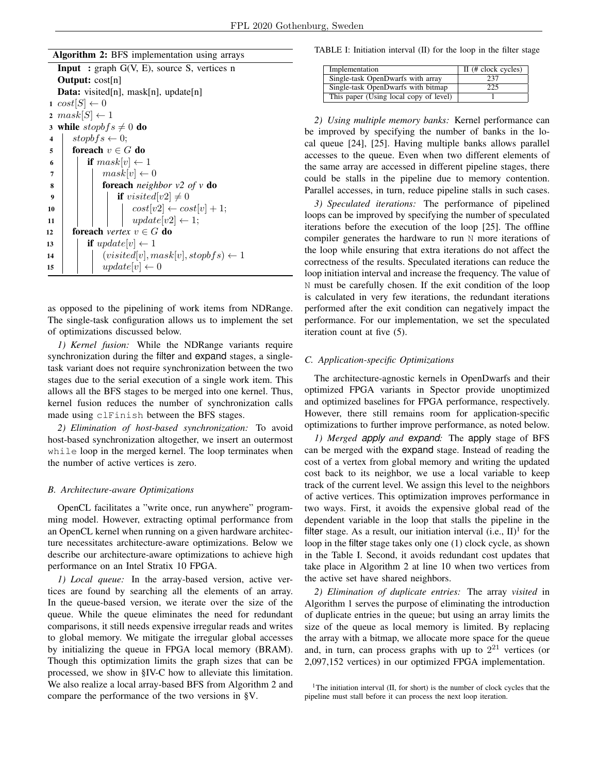| Algorithm 2: BFS implementation using arrays |  |  |  |
|----------------------------------------------|--|--|--|
|                                              |  |  |  |

|                | <b>Input</b> : graph $G(V, E)$ , source S, vertices n            |  |  |  |  |  |
|----------------|------------------------------------------------------------------|--|--|--|--|--|
|                | <b>Output:</b> $cost[n]$                                         |  |  |  |  |  |
|                | <b>Data:</b> visited[n], mask[n], update[n]                      |  |  |  |  |  |
|                | $1 \ cos t  S  \leftarrow 0$                                     |  |  |  |  |  |
|                | $2 \; mask[S] \leftarrow 1$                                      |  |  |  |  |  |
|                | 3 while stopb $fs \neq 0$ do                                     |  |  |  |  |  |
| 4              | $stopbfs \leftarrow 0$ ;                                         |  |  |  |  |  |
| 5              | foreach $v \in G$ do                                             |  |  |  |  |  |
| 6              | <b>if</b> $mask[v] \leftarrow 1$                                 |  |  |  |  |  |
| $\overline{7}$ | $mask[v] \leftarrow 0$                                           |  |  |  |  |  |
| 8              | <b>foreach</b> neighbor $v2$ of $v$ <b>do</b>                    |  |  |  |  |  |
| 9              | <b>if</b> visited[v2] $\neq 0$                                   |  |  |  |  |  |
| 10             |                                                                  |  |  |  |  |  |
| 11             | $cost[v2] \leftarrow cost[v] + 1;$<br>$update[v2] \leftarrow 1;$ |  |  |  |  |  |
| 12             | <b>foreach</b> vertex $v \in G$ <b>do</b>                        |  |  |  |  |  |
| 13             | <b>if</b> update[v] $\leftarrow$ 1                               |  |  |  |  |  |
| 14             | $(visted[v], mask[v], stopbf s) \leftarrow 1$                    |  |  |  |  |  |
| 15             | $update[v] \leftarrow 0$                                         |  |  |  |  |  |
|                |                                                                  |  |  |  |  |  |

as opposed to the pipelining of work items from NDRange. The single-task configuration allows us to implement the set of optimizations discussed below.

*1) Kernel fusion:* While the NDRange variants require synchronization during the filter and expand stages, a singletask variant does not require synchronization between the two stages due to the serial execution of a single work item. This allows all the BFS stages to be merged into one kernel. Thus, kernel fusion reduces the number of synchronization calls made using clFinish between the BFS stages.

*2) Elimination of host-based synchronization:* To avoid host-based synchronization altogether, we insert an outermost while loop in the merged kernel. The loop terminates when the number of active vertices is zero.

# *B. Architecture-aware Optimizations*

OpenCL facilitates a "write once, run anywhere" programming model. However, extracting optimal performance from an OpenCL kernel when running on a given hardware architecture necessitates architecture-aware optimizations. Below we describe our architecture-aware optimizations to achieve high performance on an Intel Stratix 10 FPGA.

*1) Local queue:* In the array-based version, active vertices are found by searching all the elements of an array. In the queue-based version, we iterate over the size of the queue. While the queue eliminates the need for redundant comparisons, it still needs expensive irregular reads and writes to global memory. We mitigate the irregular global accesses by initializing the queue in FPGA local memory (BRAM). Though this optimization limits the graph sizes that can be processed, we show in §IV-C how to alleviate this limitation. We also realize a local array-based BFS from Algorithm 2 and compare the performance of the two versions in §V.

TABLE I: Initiation interval (II) for the loop in the filter stage

| Implementation                         | $\text{II}$ (# clock cycles) |
|----------------------------------------|------------------------------|
| Single-task OpenDwarfs with array      | 237                          |
| Single-task OpenDwarfs with bitmap     | 225                          |
| This paper (Using local copy of level) |                              |

*2) Using multiple memory banks:* Kernel performance can be improved by specifying the number of banks in the local queue [24], [25]. Having multiple banks allows parallel accesses to the queue. Even when two different elements of the same array are accessed in different pipeline stages, there could be stalls in the pipeline due to memory contention. Parallel accesses, in turn, reduce pipeline stalls in such cases.

*3) Speculated iterations:* The performance of pipelined loops can be improved by specifying the number of speculated iterations before the execution of the loop [25]. The offline compiler generates the hardware to run N more iterations of the loop while ensuring that extra iterations do not affect the correctness of the results. Speculated iterations can reduce the loop initiation interval and increase the frequency. The value of N must be carefully chosen. If the exit condition of the loop is calculated in very few iterations, the redundant iterations performed after the exit condition can negatively impact the performance. For our implementation, we set the speculated iteration count at five (5).

# *C. Application-specific Optimizations*

The architecture-agnostic kernels in OpenDwarfs and their optimized FPGA variants in Spector provide unoptimized and optimized baselines for FPGA performance, respectively. However, there still remains room for application-specific optimizations to further improve performance, as noted below.

*1) Merged apply and expand:* The apply stage of BFS can be merged with the expand stage. Instead of reading the cost of a vertex from global memory and writing the updated cost back to its neighbor, we use a local variable to keep track of the current level. We assign this level to the neighbors of active vertices. This optimization improves performance in two ways. First, it avoids the expensive global read of the dependent variable in the loop that stalls the pipeline in the filter stage. As a result, our initiation interval  $(i.e., II)^1$  for the loop in the filter stage takes only one (1) clock cycle, as shown in the Table I. Second, it avoids redundant cost updates that take place in Algorithm 2 at line 10 when two vertices from the active set have shared neighbors.

*2) Elimination of duplicate entries:* The array *visited* in Algorithm 1 serves the purpose of eliminating the introduction of duplicate entries in the queue; but using an array limits the size of the queue as local memory is limited. By replacing the array with a bitmap, we allocate more space for the queue and, in turn, can process graphs with up to  $2^{21}$  vertices (or 2,097,152 vertices) in our optimized FPGA implementation.

<sup>&</sup>lt;sup>1</sup>The initiation interval (II, for short) is the number of clock cycles that the pipeline must stall before it can process the next loop iteration.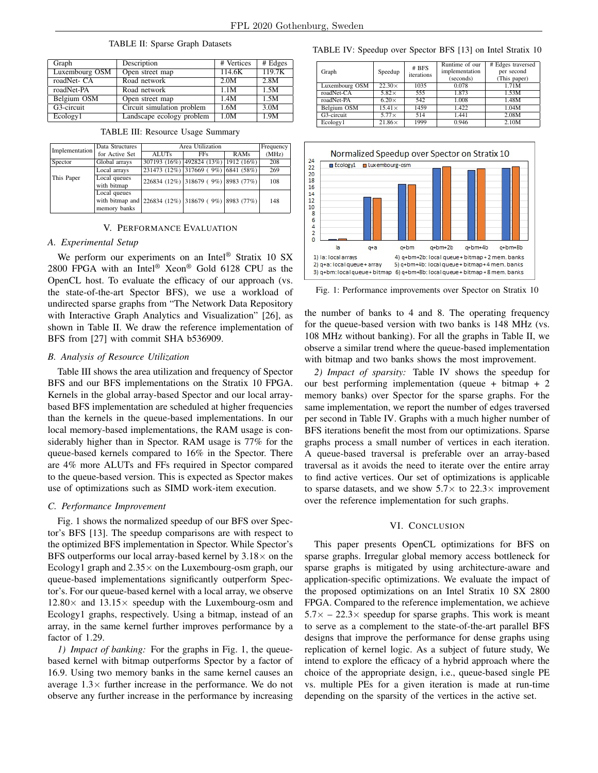| Graph          | Description                | # Vertices | # Edges |
|----------------|----------------------------|------------|---------|
| Luxembourg OSM | Open street map            | 114.6K     | 119.7K  |
| roadNet- CA    | Road network               | 2.0M       | 2.8M    |
| roadNet-PA     | Road network               | 1.1M       | 1.5M    |
| Belgium OSM    | Open street map            | 1.4M       | 1.5M    |
| G3-circuit     | Circuit simulation problem | 1.6M       | 3.0M    |
| Ecology1       | Landscape ecology problem  | 1.0M       | 1.9M    |

TABLE II: Sparse Graph Datasets

| Implementation | Data Structures                                     | Area Utilization | Frequency                            |                                     |       |
|----------------|-----------------------------------------------------|------------------|--------------------------------------|-------------------------------------|-------|
|                | for Active Set                                      | <b>ALUTs</b>     | <b>FFs</b>                           | RAMs                                | (MHz) |
| Spector        | Global arrays                                       |                  | 307193 (16%) 492824 (13%) 1912 (16%) |                                     | 208   |
|                | Local arrays                                        |                  | 231473 (12%) 317669 (9%) 6841 (58%)  |                                     | 269   |
| This Paper     | Local queues                                        |                  |                                      | 226834 (12%) 318679 (9%) 8983 (77%) | 108   |
|                | with bitmap                                         |                  |                                      |                                     |       |
|                | Local queues                                        |                  |                                      |                                     |       |
|                | with bitmap and 226834 (12%) 318679 (9%) 8983 (77%) |                  |                                      |                                     | 148   |
|                | memory banks                                        |                  |                                      |                                     |       |

#### TABLE III: Resource Usage Summary

### V. PERFORMANCE EVALUATION

# *A. Experimental Setup*

We perform our experiments on an Intel<sup>®</sup> Stratix 10 SX 2800 FPGA with an Intel® Xeon® Gold 6128 CPU as the OpenCL host. To evaluate the efficacy of our approach (vs. the state-of-the-art Spector BFS), we use a workload of undirected sparse graphs from "The Network Data Repository with Interactive Graph Analytics and Visualization" [26], as shown in Table II. We draw the reference implementation of BFS from [27] with commit SHA b536909.

## *B. Analysis of Resource Utilization*

Table III shows the area utilization and frequency of Spector BFS and our BFS implementations on the Stratix 10 FPGA. Kernels in the global array-based Spector and our local arraybased BFS implementation are scheduled at higher frequencies than the kernels in the queue-based implementations. In our local memory-based implementations, the RAM usage is considerably higher than in Spector. RAM usage is 77% for the queue-based kernels compared to 16% in the Spector. There are 4% more ALUTs and FFs required in Spector compared to the queue-based version. This is expected as Spector makes use of optimizations such as SIMD work-item execution.

## *C. Performance Improvement*

Fig. 1 shows the normalized speedup of our BFS over Spector's BFS [13]. The speedup comparisons are with respect to the optimized BFS implementation in Spector. While Spector's BFS outperforms our local array-based kernel by  $3.18\times$  on the Ecology1 graph and  $2.35\times$  on the Luxembourg-osm graph, our queue-based implementations significantly outperform Spector's. For our queue-based kernel with a local array, we observe  $12.80\times$  and  $13.15\times$  speedup with the Luxembourg-osm and Ecology1 graphs, respectively. Using a bitmap, instead of an array, in the same kernel further improves performance by a factor of 1.29.

*1) Impact of banking:* For the graphs in Fig. 1, the queuebased kernel with bitmap outperforms Spector by a factor of 16.9. Using two memory banks in the same kernel causes an average  $1.3\times$  further increase in the performance. We do not observe any further increase in the performance by increasing

TABLE IV: Speedup over Spector BFS [13] on Intel Stratix 10

| Graph          | Speedup       | # BFS<br>iterations | Runtime of our<br>implementation<br>(seconds) | # Edges traversed<br>per second<br>(This paper) |
|----------------|---------------|---------------------|-----------------------------------------------|-------------------------------------------------|
| Luxembourg OSM | $22.30\times$ | 1035                | 0.078                                         | 1.71M                                           |
| roadNet-CA     | $5.82\times$  | 555                 | 1.873                                         | 1.53M                                           |
| roadNet-PA     | $6.20\times$  | 542                 | 1.008                                         | 1.48M                                           |
| Belgium OSM    | $15.41\times$ | 1459                | 1.422                                         | 1.04M                                           |
| G3-circuit     | $5.77\times$  | 514                 | 1.441                                         | 2.08M                                           |
| Ecology1       | $21.86\times$ | 1999                | 0.946                                         | 2.10M                                           |



Fig. 1: Performance improvements over Spector on Stratix 10

the number of banks to 4 and 8. The operating frequency for the queue-based version with two banks is 148 MHz (vs. 108 MHz without banking). For all the graphs in Table II, we observe a similar trend where the queue-based implementation with bitmap and two banks shows the most improvement.

*2) Impact of sparsity:* Table IV shows the speedup for our best performing implementation (queue + bitmap + 2 memory banks) over Spector for the sparse graphs. For the same implementation, we report the number of edges traversed per second in Table IV. Graphs with a much higher number of BFS iterations benefit the most from our optimizations. Sparse graphs process a small number of vertices in each iteration. A queue-based traversal is preferable over an array-based traversal as it avoids the need to iterate over the entire array to find active vertices. Our set of optimizations is applicable to sparse datasets, and we show  $5.7\times$  to  $22.3\times$  improvement over the reference implementation for such graphs.

# VI. CONCLUSION

This paper presents OpenCL optimizations for BFS on sparse graphs. Irregular global memory access bottleneck for sparse graphs is mitigated by using architecture-aware and application-specific optimizations. We evaluate the impact of the proposed optimizations on an Intel Stratix 10 SX 2800 FPGA. Compared to the reference implementation, we achieve  $5.7\times -22.3\times$  speedup for sparse graphs. This work is meant to serve as a complement to the state-of-the-art parallel BFS designs that improve the performance for dense graphs using replication of kernel logic. As a subject of future study, We intend to explore the efficacy of a hybrid approach where the choice of the appropriate design, i.e., queue-based single PE vs. multiple PEs for a given iteration is made at run-time depending on the sparsity of the vertices in the active set.